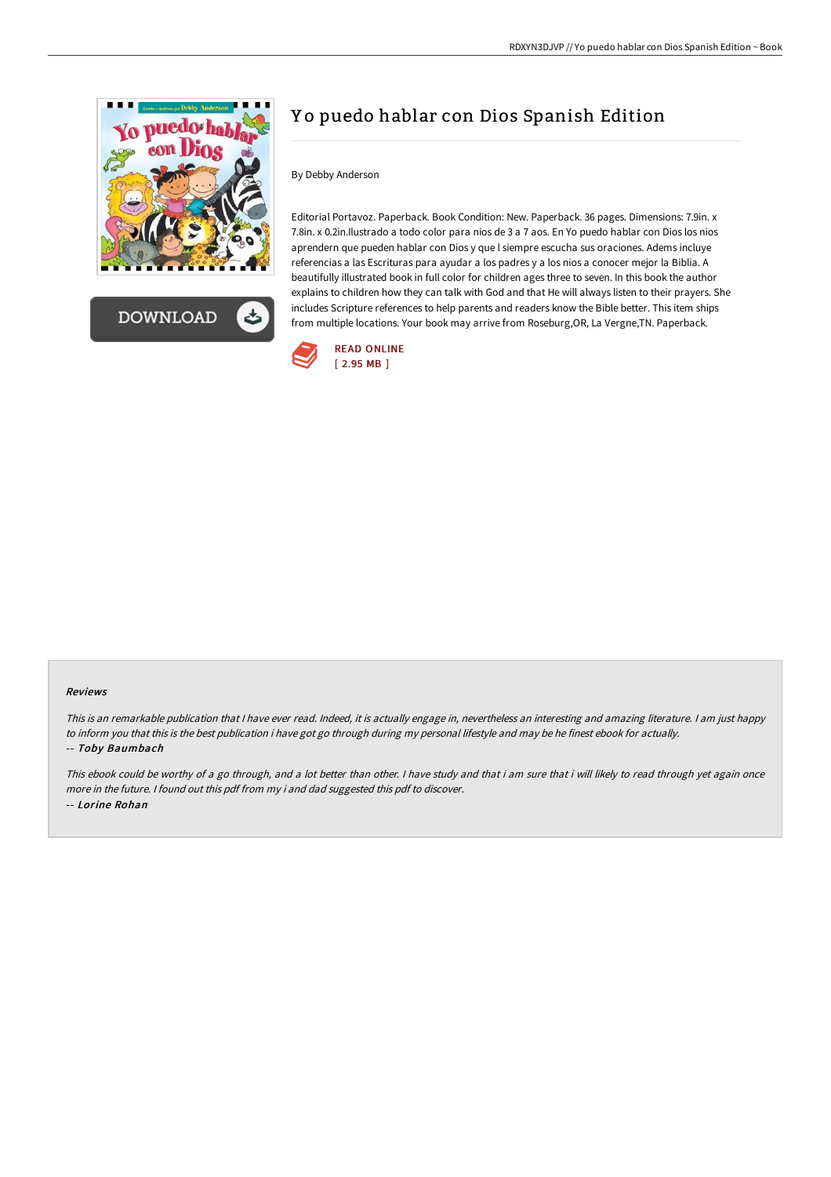

**DOWNLOAD** 

## Y o puedo hablar con Dios Spanish Edition

## By Debby Anderson

Editorial Portavoz. Paperback. Book Condition: New. Paperback. 36 pages. Dimensions: 7.9in. x 7.8in. x 0.2in.Ilustrado a todo color para nios de 3 a 7 aos. En Yo puedo hablar con Dios los nios aprendern que pueden hablar con Dios y que l siempre escucha sus oraciones. Adems incluye referencias a las Escrituras para ayudar a los padres y a los nios a conocer mejor la Biblia. A beautifully illustrated book in full color for children ages three to seven. In this book the author explains to children how they can talk with God and that He will always listen to their prayers. She includes Scripture references to help parents and readers know the Bible better. This item ships from multiple locations. Your book may arrive from Roseburg,OR, La Vergne,TN. Paperback.



## Reviews

This is an remarkable publication that I have ever read. Indeed, it is actually engage in, nevertheless an interesting and amazing literature. I am just happy to inform you that this is the best publication i have got go through during my personal lifestyle and may be he finest ebook for actually. -- Toby Baumbach

This ebook could be worthy of <sup>a</sup> go through, and <sup>a</sup> lot better than other. <sup>I</sup> have study and that i am sure that i will likely to read through yet again once more in the future. <sup>I</sup> found out this pdf from my i and dad suggested this pdf to discover. -- Lorine Rohan